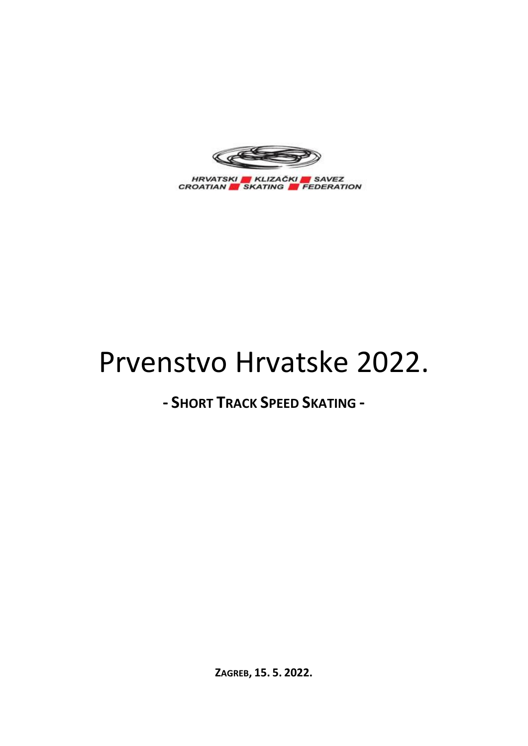

# Prvenstvo Hrvatske 2022.

**- SHORT TRACK SPEED SKATING -**

**ZAGREB, 15. 5. 2022.**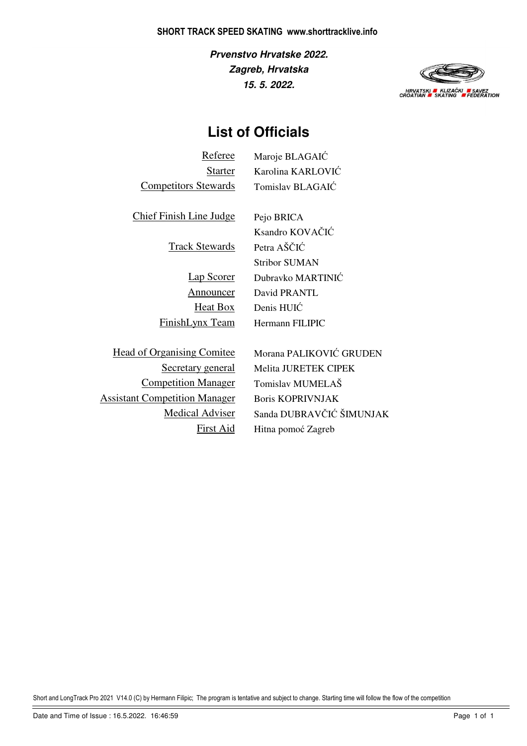**15. 5. 2022. Zagreb, Hrvatska Prvenstvo Hrvatske 2022.**



# **List of Officials**

| Referee                     |  |
|-----------------------------|--|
| <b>Starter</b>              |  |
| <b>Competitors Stewards</b> |  |

Maroje BLAGAIĆ Karolina KARLOVIĆ Tomislav BLAGAIĆ

Chief Finish Line Judge Pejo BRICA

Track Stewards Petra AŠČIĆ

Ksandro KOVAČIĆ Stribor SUMAN Lap Scorer Dubravko MARTINIĆ Announcer David PRANTL Heat Box Denis HUIĆ FinishLynx Team Hermann FILIPIC

Head of Organising Comitee Morana PALIKOVIĆ GRUDEN Competition Manager Tomislav MUMELAŠ Assistant Competition Manager Boris KOPRIVNJAK

Secretary general Melita JURETEK CIPEK Medical Adviser Sanda DUBRAVČIĆ ŠIMUNJAK First Aid Hitna pomoć Zagreb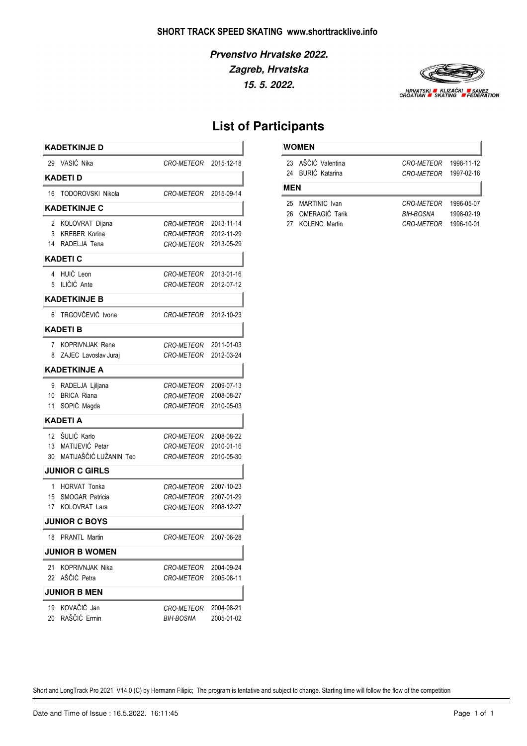

# **List of Participants**

|    | KADETKINJE D           |                          |            |
|----|------------------------|--------------------------|------------|
|    | 29 VASIĆ Nika          | <i>CRO-METEOR</i>        | 2015-12-18 |
|    | <b>KADETI D</b>        |                          |            |
|    | 16 TODOROVSKI Nikola   | <i><b>CRO-METEOR</b></i> | 2015-09-14 |
|    | <b>KADETKINJE C</b>    |                          |            |
| 2  | KOLOVRAT Dijana        | <i>CRO-METEOR</i>        | 2013-11-14 |
| 3  | <b>KREBER Korina</b>   | <i><b>CRO-METEOR</b></i> | 2012-11-29 |
| 14 | RADELJA Tena           | <i>CRO-METEOR</i>        | 2013-05-29 |
|    | <b>KADETI C</b>        |                          |            |
|    | 4 HUIĆ Leon            | <i>CRO-METEOR</i>        | 2013-01-16 |
| 5  | ILIČIĆ Ante            | <i>CRO-METEOR</i>        | 2012-07-12 |
|    | <b>KADETKINJE B</b>    |                          |            |
| 6  | TRGOVČEVIĆ Ivona       | <i>CRO-METEOR</i>        | 2012-10-23 |
|    | <b>KADETI B</b>        |                          |            |
|    | 7 KOPRIVNJAK Rene      | <i>CRO-METEOR</i>        | 2011-01-03 |
| 8  | ZAJEC Lavoslav Juraj   | <b>CRO-METEOR</b>        | 2012-03-24 |
|    | <b>KADETKINJE A</b>    |                          |            |
| 9  | RADELJA Ljiljana       | <b>CRO-METEOR</b>        | 2009-07-13 |
| 10 | <b>BRICA Riana</b>     | <i>CRO-METEOR</i>        | 2008-08-27 |
| 11 | SOPIĆ Magda            | <i><b>CRO-METEOR</b></i> | 2010-05-03 |
|    | <b>KADETI A</b>        |                          |            |
|    | 12 ŠULIĆ Karlo         | <i><b>CRO-METEOR</b></i> | 2008-08-22 |
| 13 | MATIJEVIĆ Petar        | <b>CRO-METEOR</b>        | 2010-01-16 |
| 30 | MATIJAŠČIĆ LUŽANIN Teo | <b>CRO-METEOR</b>        | 2010-05-30 |
|    | <b>JUNIOR C GIRLS</b>  |                          |            |
| 1  | HORVAT Tonka           | <i><b>CRO-METEOR</b></i> | 2007-10-23 |
| 15 | SMOGAR Patricia        | <b>CRO-METEOR</b>        | 2007-01-29 |
| 17 | <b>KOLOVRAT Lara</b>   | <b>CRO-METEOR</b>        | 2008-12-27 |
|    | <b>JUNIOR C BOYS</b>   |                          |            |
| 18 | PRANTL Martin          | <i>CRO-METEOR</i>        | 2007-06-28 |
|    | <b>JUNIOR B WOMEN</b>  |                          |            |
| 21 | KOPRIVNJAK Nika        | <b>CRO-METEOR</b>        | 2004-09-24 |
| 22 | AŠČIĆ Petra            | <i><b>CRO-METEOR</b></i> | 2005-08-11 |
|    | <b>JUNIOR B MEN</b>    |                          |            |
| 19 | KOVAČIĆ Jan            | <i>CRO-METEOR</i>        | 2004-08-21 |
| 20 | RAŠČIĆ Ermin           | BIH-BOSNA                | 2005-01-02 |

|     | <b>WOMEN</b>                            |                                                |            |
|-----|-----------------------------------------|------------------------------------------------|------------|
|     | 23 AŠČIĆ Valentina<br>24 BURIĆ Katarina | CRO-METEOR 1998-11-12<br>CRO-METEOR 1997-02-16 |            |
| MEN |                                         |                                                |            |
|     | 25 MARTINIC Ivan                        | <b>CRO-METEOR</b>                              | 1996-05-07 |
|     | 26 OMERAGIĆ Tarik                       | BIH-BOSNA                                      | 1998-02-19 |
|     | 27 KOLENC Martin                        | <b>CRO-METEOR</b>                              | 1996-10-01 |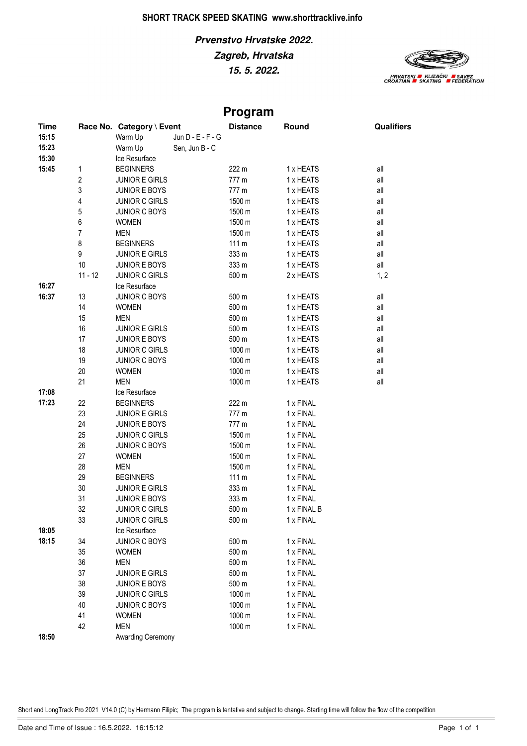## **15. 5. 2022. Zagreb, Hrvatska Prvenstvo Hrvatske 2022.**



|             |                  |                           |                     | Program          |             |                   |
|-------------|------------------|---------------------------|---------------------|------------------|-------------|-------------------|
| <b>Time</b> |                  | Race No. Category \ Event |                     | <b>Distance</b>  | Round       | <b>Qualifiers</b> |
| 15:15       |                  | Warm Up                   | Jun $D - E - F - G$ |                  |             |                   |
| 15:23       |                  | Warm Up                   | Sen, Jun B - C      |                  |             |                   |
| 15:30       |                  | Ice Resurface             |                     |                  |             |                   |
| 15:45       | 1                | <b>BEGINNERS</b>          |                     | 222 m            | 1 x HEATS   | all               |
|             | $\sqrt{2}$       | <b>JUNIOR E GIRLS</b>     |                     | 777 m            | 1 x HEATS   | all               |
|             | 3                | <b>JUNIOR E BOYS</b>      |                     | 777 m            | 1 x HEATS   | all               |
|             | $\sqrt{4}$       | <b>JUNIOR C GIRLS</b>     |                     | 1500 m           | 1 x HEATS   | all               |
|             | 5                | <b>JUNIOR C BOYS</b>      |                     | 1500 m           | 1 x HEATS   | all               |
|             | $\boldsymbol{6}$ | <b>WOMEN</b>              |                     | 1500 m           | 1 x HEATS   | all               |
|             | $\overline{7}$   | <b>MEN</b>                |                     | 1500 m           | 1 x HEATS   | all               |
|             | $\bf 8$          | <b>BEGINNERS</b>          |                     | 111 <sub>m</sub> | 1 x HEATS   | all               |
|             | 9                | <b>JUNIOR E GIRLS</b>     |                     | 333 m            | 1 x HEATS   | all               |
|             | 10               | <b>JUNIOR E BOYS</b>      |                     | 333 m            | 1 x HEATS   | all               |
|             | $11 - 12$        | <b>JUNIOR C GIRLS</b>     |                     | 500 m            | 2 x HEATS   | 1, 2              |
| 16:27       |                  | Ice Resurface             |                     |                  |             |                   |
| 16:37       | 13               | <b>JUNIOR C BOYS</b>      |                     | 500 m            | 1 x HEATS   | all               |
|             | 14               | <b>WOMEN</b>              |                     | 500 m            | 1 x HEATS   | all               |
|             | 15               | <b>MEN</b>                |                     | 500 m            | 1 x HEATS   | all               |
|             | 16               | <b>JUNIOR E GIRLS</b>     |                     | 500 m            | 1 x HEATS   | all               |
|             | 17               | <b>JUNIOR E BOYS</b>      |                     | 500 m            | 1 x HEATS   | all               |
|             | 18               | <b>JUNIOR C GIRLS</b>     |                     | 1000 m           | 1 x HEATS   | all               |
|             | 19               | <b>JUNIOR C BOYS</b>      |                     | 1000 m           | 1 x HEATS   | all               |
|             | 20               | <b>WOMEN</b>              |                     | 1000 m           |             | all               |
|             | 21               |                           |                     | 1000 m           | 1 x HEATS   |                   |
|             |                  | <b>MEN</b>                |                     |                  | 1 x HEATS   | all               |
| 17:08       |                  | Ice Resurface             |                     |                  |             |                   |
| 17:23       | 22               | <b>BEGINNERS</b>          |                     | 222 m            | 1 x FINAL   |                   |
|             | 23               | <b>JUNIOR E GIRLS</b>     |                     | 777 m            | 1 x FINAL   |                   |
|             | 24               | <b>JUNIOR E BOYS</b>      |                     | 777 m            | 1 x FINAL   |                   |
|             | 25               | <b>JUNIOR C GIRLS</b>     |                     | 1500 m           | 1 x FINAL   |                   |
|             | 26               | <b>JUNIOR C BOYS</b>      |                     | 1500 m           | 1 x FINAL   |                   |
|             | 27               | <b>WOMEN</b>              |                     | 1500 m           | 1 x FINAL   |                   |
|             | 28               | <b>MEN</b>                |                     | 1500 m           | 1 x FINAL   |                   |
|             | 29               | <b>BEGINNERS</b>          |                     | 111 m            | 1 x FINAL   |                   |
|             | 30               | <b>JUNIOR E GIRLS</b>     |                     | 333 m            | 1 x FINAL   |                   |
|             | 31               | <b>JUNIOR E BOYS</b>      |                     | 333 m            | 1 x FINAL   |                   |
|             | 32               | <b>JUNIOR C GIRLS</b>     |                     | 500 m            | 1 x FINAL B |                   |
|             | 33               | <b>JUNIOR C GIRLS</b>     |                     | 500 m            | 1 x FINAL   |                   |
| 18:05       |                  | Ice Resurface             |                     |                  |             |                   |
| 18:15       | 34               | <b>JUNIOR C BOYS</b>      |                     | 500 m            | 1 x FINAL   |                   |
|             | 35               | <b>WOMEN</b>              |                     | 500 m            | 1 x FINAL   |                   |
|             | 36               | <b>MEN</b>                |                     | 500 m            | 1 x FINAL   |                   |
|             | 37               | <b>JUNIOR E GIRLS</b>     |                     | 500 m            | 1 x FINAL   |                   |
|             | 38               | <b>JUNIOR E BOYS</b>      |                     | 500 m            | 1 x FINAL   |                   |
|             | 39               | <b>JUNIOR C GIRLS</b>     |                     | 1000 m           | 1 x FINAL   |                   |
|             | 40               | <b>JUNIOR C BOYS</b>      |                     | 1000 m           | 1 x FINAL   |                   |
|             | 41               | <b>WOMEN</b>              |                     | 1000 m           | 1 x FINAL   |                   |
|             | 42               | <b>MEN</b>                |                     | 1000 m           | 1 x FINAL   |                   |
| 18:50       |                  | Awarding Ceremony         |                     |                  |             |                   |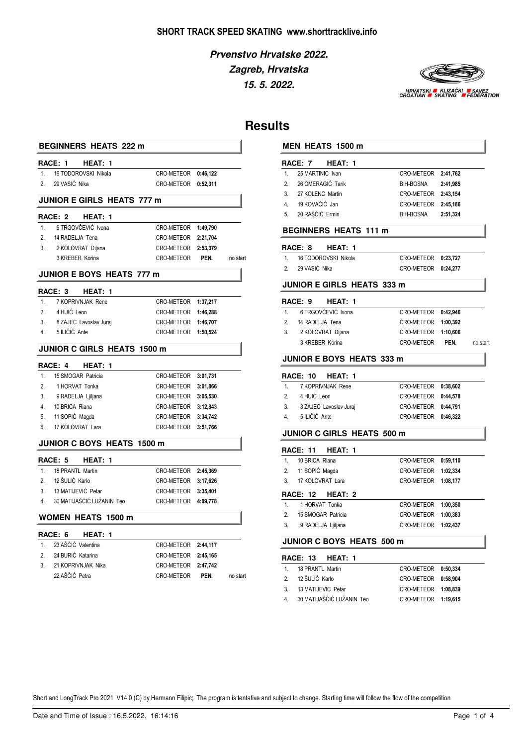

## **Results**

#### **BEGINNERS HEATS 222 m**

## **RACE: 1 HEAT: 1** 1. 16 TODOROVSKI Nikola CRO-METEOR 0:46,122 2. VASIĆ Nika CRO-METEOR 29 **0:52,311 JUNIOR E GIRLS HEATS 777 m RACE: 2 HEAT: 1** 1. 6 TRGOVČEVIĆ Ivona CRO-METEOR 1:49,790 2. 14 RADELJA Tena **CRO-METEOR** 2:21.704 3. 2 KOLOVRAT Dijana CRO-METEOR 2:53,379 3 KREBER Korina CRO-METEOR **PEN.** no start

#### **JUNIOR E BOYS HEATS 777 m**

#### **RACE: 3 HEAT: 1**

| 1 | 7 KOPRIVNJAK Rene         | CRO-METEOR 1:37,217 |  |
|---|---------------------------|---------------------|--|
|   | 2. 4 HUIĆ Leon            | CRO-METEOR 1:46.288 |  |
|   | 3. 8 ZAJEC Lavoslav Juraj | CRO-METEOR 1:46.707 |  |
|   | 4. 5 ILIČIĆ Ante          | CRO-METEOR 1:50.524 |  |

#### **JUNIOR C GIRLS HEATS 1500 m**

#### **RACE: 4 HEAT: 1**

| $1 \quad$     | 15 SMOGAR Patricia | CRO-METEOR 3:01,731 |  |
|---------------|--------------------|---------------------|--|
| $\mathcal{P}$ | 1 HORVAT Tonka     | CRO-METEOR 3:01,866 |  |
| 3.            | 9 RADELJA Ljiljana | CRO-METEOR 3:05,530 |  |
| 4             | 10 BRICA Riana     | CRO-METEOR 3:12.843 |  |
| 5.            | 11 SOPIĆ Magda     | CRO-METEOR 3:34.742 |  |
| 6             | 17 KOLOVRAT Lara   | CRO-METEOR 3:51,766 |  |

#### **JUNIOR C BOYS HEATS 1500 m**

|              | RACE: 5 HEAT: 1           |                     |  |
|--------------|---------------------------|---------------------|--|
|              | 1. 18 PRANTL Martin       | CRO-METEOR 2:45,369 |  |
|              | 2. 12 ŠULIĆ Karlo         | CRO-METEOR 3:17.626 |  |
| $\mathbf{3}$ | 13 MATIJEVIĆ Petar        | CRO-METEOR 3:35.401 |  |
| 4            | 30 MATIJAŠČIĆ LUŽANIN Teo | CRO-METEOR 4:09.778 |  |
|              |                           |                     |  |

#### **WOMEN HEATS 1500 m**

#### **RACE: 6 HEAT: 1** 1. AŠČIĆ Valentina CRO-METEOR 23 **2:44,117** 2. 24 BURIĆ Katarina **CRO-METEOR** 2:45.165 3. 21 KOPRIVNJAK Nika CRO-METEOR 2:47,742

22 AŠČIĆ Petra CRO-METEOR **PEN.** no start

#### **MEN HEATS 1500 m**

|                | CRO-METEOR 2:41,762                                                                                   |          |
|----------------|-------------------------------------------------------------------------------------------------------|----------|
|                | BIH-BOSNA                                                                                             | 2:41,985 |
|                | CRO-METEOR 2:43,154                                                                                   |          |
| 19 KOVAČIĆ Jan | CRO-METEOR 2:45.186                                                                                   |          |
|                | BIH-BOSNA                                                                                             | 2:51.324 |
|                | RACE: 7 HEAT: 1<br>25 MARTINIC Ivan<br>2. 26 OMERAGIĆ Tarik<br>3. 27 KOLENC Martin<br>20 RAŠČIĆ Ermin |          |

#### **BEGINNERS HEATS 111 m**

#### **RACE: 8 HEAT: 1**

| 16 TODOROVSKI Nikola | CRO-METEOR 0:23.727 |  |
|----------------------|---------------------|--|
| 29 VASIĆ Nika        | CRO-METEOR 0:24.277 |  |

#### **JUNIOR E GIRLS HEATS 333 m**

|    | RACE: 9 HEAT: 1       |                     |      |          |
|----|-----------------------|---------------------|------|----------|
|    | 1. 6 TRGOVČEVIĆ Ivona | CRO-METEOR 0:42,946 |      |          |
| 2. | 14 RADELJA Tena       | CRO-METEOR 1:00,392 |      |          |
| 3. | 2 KOLOVRAT Dijana     | CRO-METEOR 1:10.606 |      |          |
|    | 3 KREBER Korina       | CRO-METEOR          | PFN. | no start |
|    |                       |                     |      |          |

#### **JUNIOR E BOYS HEATS 333 m**

#### **RACE: 10 HEAT: 1**

| 1. 7 KOPRIVNJAK Rene      | CRO-METEOR 0:38.602 |  |
|---------------------------|---------------------|--|
| 2. 4 HUIĆ Leon            | CRO-METEOR 0:44.578 |  |
| 3. 8 ZAJEC Lavoslav Juraj | CRO-METEOR 0:44.791 |  |
| 4. 5 ILIČIĆ Ante          | CRO-METEOR 0:46.322 |  |

#### **JUNIOR C GIRLS HEATS 500 m**

#### **RACE: 11 HEAT: 1**

| $\mathbf{1}$ . | 10 BRICA Riana          | CRO-METEOR 0:59.110 |  |
|----------------|-------------------------|---------------------|--|
|                | 2. 11 SOPIĆ Magda       | CRO-METEOR 1:02.334 |  |
| $\mathbf{3}$   | 17 KOLOVRAT Lara        | CRO-METEOR 1:08.177 |  |
|                | <b>RACE: 12 HEAT: 2</b> |                     |  |
|                | 1. 1 HORVAT Tonka       | CRO-METEOR 1:00.350 |  |
| 2.             | 15 SMOGAR Patricia      | CRO-METEOR 1:00.383 |  |
| 3.             | 9 RADELJA Ljiljana      | CRO-METEOR 1:02,437 |  |

#### **JUNIOR C BOYS HEATS 500 m**

|              | RACE: 13 HEAT: 1          |                     |  |
|--------------|---------------------------|---------------------|--|
|              | 1. 18 PRANTL Martin       | CRO-METEOR 0:50.334 |  |
|              | 2. 12 ŠULIĆ Karlo         | CRO-METEOR 0:58.904 |  |
| $\mathbf{3}$ | 13 MATIJEVIĆ Petar        | CRO-METEOR 1:08.839 |  |
| 4            | 30 MATIJAŠČIĆ LUŽANIN Teo | CRO-METEOR 1:19.615 |  |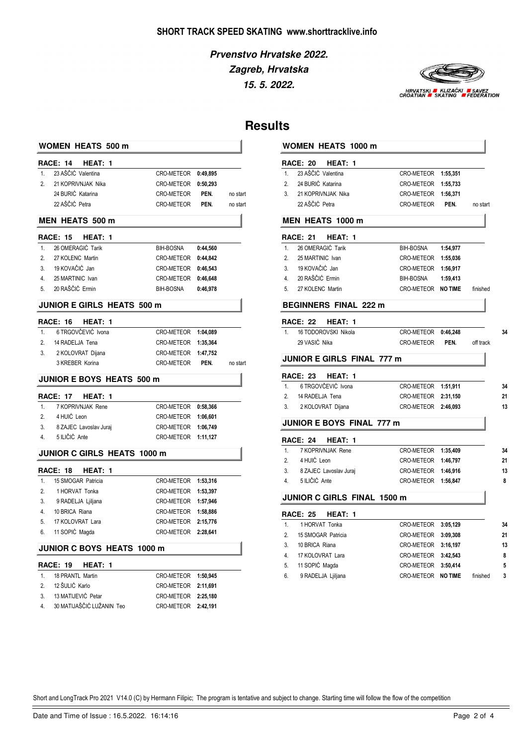

## **Results**

|    | <b>WOMEN HEATS 500 m</b>          |                     |          |          |
|----|-----------------------------------|---------------------|----------|----------|
|    | RACE: 14<br><b>HEAT: 1</b>        |                     |          |          |
| 1. | 23 AŠČIĆ Valentina                | CRO-METEOR 0:49,895 |          |          |
| 2. | 21 KOPRIVNJAK Nika                | CRO-METEOR          | 0:50,293 |          |
|    | 24 BURIĆ Katarina                 | CRO-METEOR          | PEN.     | no start |
|    | 22 AŠČIĆ Petra                    | CRO-METEOR          | PEN.     | no start |
|    | <b>MEN HEATS 500 m</b>            |                     |          |          |
|    | <b>RACE: 15</b><br><b>HEAT: 1</b> |                     |          |          |
| 1. | 26 OMERAGIĆ Tarik                 | <b>BIH-BOSNA</b>    | 0:44,560 |          |
| 2. | 27 KOLENC Martin                  | CRO-METEOR 0:44,842 |          |          |
| 3. | 19 KOVAČIĆ Jan                    | CRO-METEOR          | 0:46,543 |          |
| 4. | 25 MARTINIC Ivan                  | CRO-METEOR          | 0:46,648 |          |
| 5. | 20 RAŠČIĆ Ermin                   | <b>BIH-BOSNA</b>    | 0:46,978 |          |
|    | JUNIOR E GIRLS HEATS 500 m        |                     |          |          |
|    | RACE: 16<br>HEAT: 1               |                     |          |          |
| 1. | 6 TRGOVČEVIĆ Ivona                | CRO-METEOR 1:04,089 |          |          |
| 2. | 14 RADELJA Tena                   | CRO-METEOR          | 1:35,364 |          |
| 3. | 2 KOLOVRAT Dijana                 | CRO-METEOR          | 1:47,752 |          |
|    | 3 KREBER Korina                   | CRO-METEOR          | PEN.     | no start |
|    | <b>JUNIOR E BOYS HEATS 500 m</b>  |                     |          |          |
|    | RACE: 17<br><b>HEAT: 1</b>        |                     |          |          |
| 1. | 7 KOPRIVNJAK Rene                 | CRO-METEOR          | 0:58,366 |          |
| 2. | 4 HUIĆ Leon                       | CRO-METEOR          | 1:06,601 |          |
| 3. | 8 ZAJEC Lavoslav Juraj            | CRO-METEOR          | 1:06,749 |          |
| 4. | 5 ILIČIĆ Ante                     | CRO-METEOR          | 1:11,127 |          |
|    | JUNIOR C GIRLS HEATS 1000 m       |                     |          |          |
|    | RACE: 18<br><b>HEAT: 1</b>        |                     |          |          |
| 1. | 15 SMOGAR Patricia                | CRO-METEOR          | 1:53,316 |          |
| 2. | 1 HORVAT Tonka                    | CRO-METEOR          | 1:53,397 |          |
| 3. | 9 RADELJA Ljiljana                | CRO-METEOR          | 1:57,946 |          |
| 4. | 10 BRICA Riana                    | CRO-METEOR          | 1:58,886 |          |
| 5. | 17 KOLOVRAT Lara                  | CRO-METEOR          | 2:15,776 |          |
| 6. | 11 SOPIĆ Magda                    | CRO-METEOR          | 2:28,641 |          |
|    | JUNIOR C BOYS HEATS 1000 m        |                     |          |          |
|    | <b>RACE: 19</b><br>HEAT: 1        |                     |          |          |
| 1. | 18 PRANTL Martin                  | CRO-METEOR          | 1:50,945 |          |
| 2. | 12 ŠULIĆ Karlo                    | CRO-METEOR          | 2:11,691 |          |
| 3. | 13 MATIJEVIĆ Petar                | CRO-METEOR          | 2:25,180 |          |
| 4. | 30 MATIJAŠČIĆ LUŽANIN Teo         | CRO-METEOR          | 2:42,191 |          |
|    |                                   |                     |          |          |

#### **RACE: 20 HEAT: 1** 1. 23 AŠČIĆ Valentina **1.55,351** CRO-METEOR 1:55,351 2. 24 BURIĆ Katarina CRO-METEOR 1:55,733 3. 21 KOPRIVNJAK Nika CRO-METEOR 1:56,371 22 AŠČIĆ Petra CRO-METEOR **PEN.** no start **MEN HEATS 1000 m RACE: 21 HEAT: 1** 1. 26 OMERAGIĆ Tarik BIH-BOSNA 1:54,977 2. MARTINIC Ivan CRO-METEOR 25 **1:55,036** 3. KOVAČIĆ Jan CRO-METEOR 19 **1:56,917** 4. RAŠČIĆ Ermin BIH-BOSNA 20 **1:59,413** 5. KOLENC Martin 27 CRO-METEOR **NO TIME** finished

#### **BEGINNERS FINAL 222 m**

**WOMEN HEATS 1000 m**

| <b>RACE: 22</b> |  | HEAT: 1 |  |
|-----------------|--|---------|--|
|-----------------|--|---------|--|

| 16 TODOROVSKI Nikola | CRO-METEOR 0:46.248 |      |           | 34 |
|----------------------|---------------------|------|-----------|----|
| 29 VASIĆ Nika        | CRO-METEOR          | PFN. | off track |    |

#### **JUNIOR E GIRLS FINAL 777 m**

| <b>RACE: 23 HEAT: 1</b> |                     |    |
|-------------------------|---------------------|----|
| 1. 6 TRGOVČEVIĆ Ivona   | CRO-METEOR 1:51.911 | 34 |
| 2. 14 RADELJA Tena      | CRO-METEOR 2:31.150 | 21 |
| 3. 2 KOLOVRAT Dijana    | CRO-METEOR 2:46.093 | 13 |

#### **JUNIOR E BOYS FINAL 777 m**

|                | <b>RACE: 24 HEAT: 1</b> |                     |    |
|----------------|-------------------------|---------------------|----|
|                | 1. 7 KOPRIVNJAK Rene    | CRO-METEOR 1:35,409 | 34 |
| $\mathcal{P}$  | 4 HUIĆ Leon             | CRO-METEOR 1:46,797 | 21 |
| 3.             | 8 ZAJEC Lavoslav Juraj  | CRO-METEOR 1:46,916 | 13 |
| $\overline{4}$ | 5 ILIČIĆ Ante           | CRO-METEOR 1:56.847 | 8  |
|                |                         |                     |    |

#### **JUNIOR C GIRLS FINAL 1500 m**

|    | <b>RACE: 25 HEAT: 1</b> |                     |                |          |    |  |
|----|-------------------------|---------------------|----------------|----------|----|--|
|    | 1 HORVAT Tonka          | CRO-METEOR 3:05.129 |                |          | 34 |  |
| 2. | 15 SMOGAR Patricia      | CRO-METEOR 3:09.308 |                |          | 21 |  |
| 3. | 10 BRICA Riana          | CRO-METEOR 3:16.197 |                |          | 13 |  |
| 4. | 17 KOLOVRAT Lara        | CRO-METEOR 3:42.543 |                |          | 8  |  |
| 5. | 11 SOPIĆ Magda          | CRO-METEOR          | 3:50.414       |          | 5  |  |
| 6. | 9 RADELJA Ljiljana      | CRO-METEOR          | <b>NO TIME</b> | finished | 3  |  |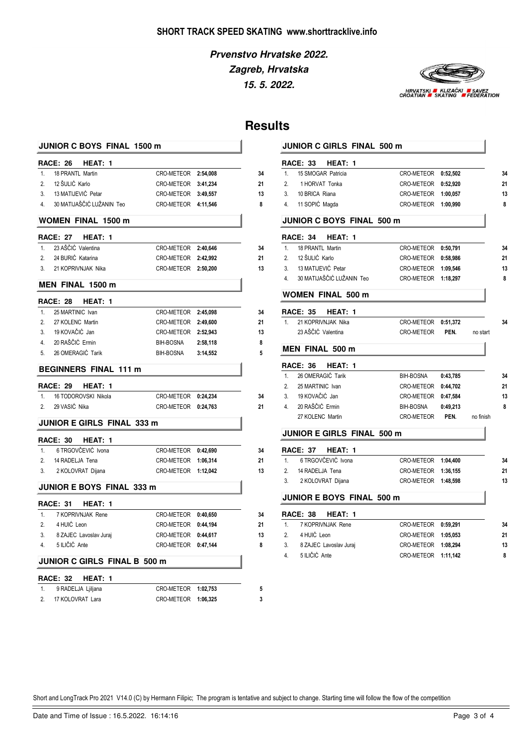

## **Results**

Í

| JUNIOR C BOYS FINAL 1500 m           |                     |          |
|--------------------------------------|---------------------|----------|
| <b>RACE: 26</b><br>HEAT: 1           |                     |          |
| 1.<br>18 PRANTL Martin               | CRO-METEOR 2:54,008 |          |
| 2.<br>12 ŠULIĆ Karlo                 | CRO-METEOR          | 3:41,234 |
| 13 MATIJEVIĆ Petar<br>3.             | CRO-METEOR          | 3:49,557 |
| 30 MATIJAŠČIĆ LUŽANIN Teo<br>4.      | CRO-METEOR          | 4:11,546 |
| <b>WOMEN FINAL 1500 m</b>            |                     |          |
| <b>RACE: 27</b><br>HEAT: 1           |                     |          |
| 23 AŠČIĆ Valentina<br>1 <sup>1</sup> | CRO-METEOR          | 2:40,646 |
| 2.<br>24 BURIĆ Katarina              | CRO-METEOR 2:42,992 |          |
| 3.<br>21 KOPRIVNJAK Nika             | CRO-METEOR          | 2:50,200 |
| MEN FINAL 1500 m                     |                     |          |
| <b>RACE: 28</b><br>HEAT: 1           |                     |          |
| 1.<br>25 MARTINIC Ivan               | CRO-METEOR 2:45,098 |          |
| 2.<br>27 KOLENC Martin               | CRO-METEOR          | 2:49,600 |
| 3.<br>19 KOVAČIĆ Jan                 | CRO-METEOR          | 2:52,943 |
| 20 RAŠČIĆ Ermin<br>4.                | BIH-BOSNA           | 2:58,118 |
| 26 OMERAGIĆ Tarik<br>5.              | <b>BIH-BOSNA</b>    | 3:14,552 |
| <b>BEGINNERS FINAL 111 m</b>         |                     |          |
| <b>RACE: 29</b><br>HEAT: 1           |                     |          |
| 16 TODOROVSKI Nikola<br>1.           | CRO-METEOR          | 0:24,234 |
| 2 <sup>2</sup><br>29 VASIĆ Nika      | CRO-METEOR          | 0:24,763 |
| <b>JUNIOR E GIRLS FINAL 333 m</b>    |                     |          |
| <b>RACE: 30</b><br>HEAT: 1           |                     |          |
| 6 TRGOVČEVIĆ Ivona<br>1.             | CRO-METEOR 0:42,690 |          |
| 2 <sup>2</sup><br>14 RADELJA Tena    | CRO-METEOR          | 1:06,314 |
| 3.<br>2 KOLOVRAT Dijana              | CRO-METEOR          | 1:12,042 |
| JUNIOR E BOYS FINAL 333 m            |                     |          |
| RACE: 31<br>HEAT: 1                  |                     |          |
| 7 KOPRIVNJAK Rene<br>1.              | CRO-METEOR          | 0:40,650 |
| 2.<br>4 HUIC Leon                    | CRO-METEOR 0:44,194 |          |
| 8 ZAJEC Lavoslav Juraj<br>3.         | CRO-METEOR 0:44,617 |          |
| 5 ILIČIĆ Ante<br>4.                  | CRO-METEOR          | 0:47,144 |
| JUNIOR C GIRLS FINAL B 500 m         |                     |          |
| <b>RACE: 32</b><br>HEAT: 1           |                     |          |
| 9 RADELJA Ljiljana<br>1.             | CRO-METEOR          | 1:02,753 |
| 2.<br>17 KOLOVRAT Lara               | CRO-METEOR          | 1:06,325 |

|                  | JUNIOR C GIRLS FINAL 500 m        |                   |          |           |
|------------------|-----------------------------------|-------------------|----------|-----------|
|                  | <b>RACE: 33</b><br><b>HEAT: 1</b> |                   |          |           |
| 1.               | 15 SMOGAR Patricia                | <b>CRO-METEOR</b> | 0:52,502 |           |
| 2.               | 1 HORVAT Tonka                    | <b>CRO-METEOR</b> | 0:52,920 |           |
| 3.               | 10 BRICA Riana                    | <b>CRO-METEOR</b> | 1:00,057 |           |
| $\overline{4}$ . | 11 SOPIĆ Magda                    | <b>CRO-METEOR</b> | 1:00,990 |           |
|                  | JUNIOR C BOYS FINAL 500 m         |                   |          |           |
|                  | <b>RACE: 34</b><br><b>HEAT: 1</b> |                   |          |           |
| 1.               | 18 PRANTL Martin                  | CRO-METEOR        | 0:50,791 |           |
| 2.               | 12 ŠULIĆ Karlo                    | CRO-METEOR        | 0:58,986 |           |
| 3.               | 13 MATIJEVIĆ Petar                | CRO-METEOR        | 1:09,546 |           |
| $\overline{4}$ . | 30 MATIJAŠČIĆ LUŽANIN Teo         | CRO-METEOR        | 1:18,297 |           |
|                  | <b>WOMEN FINAL 500 m</b>          |                   |          |           |
|                  | <b>RACE: 35</b><br>HEAT:<br>-1    |                   |          |           |
| $\mathbf{1}$     | 21 KOPRIVNJAK Nika                | CRO-METEOR        | 0:51,372 |           |
|                  | 23 AŠČIĆ Valentina                | <b>CRO-METEOR</b> | PEN.     | no start  |
|                  | <b>MEN FINAL 500 m</b>            |                   |          |           |
|                  | <b>RACE: 36</b><br><b>HEAT: 1</b> |                   |          |           |
| 1.               | 26 OMERAGIĆ Tarik                 | <b>BIH-BOSNA</b>  | 0:43,785 |           |
| 2 <sup>2</sup>   | 25 MARTINIC Ivan                  | CRO-METEOR        | 0:44,702 |           |
| 3.               | 19 KOVAČIĆ Jan                    | CRO-METEOR        | 0:47,584 |           |
| 4.               | 20 RAŠČIĆ Ermin                   | <b>BIH-BOSNA</b>  | 0:49,213 |           |
|                  | 27 KOLENC Martin                  | CRO-METEOR        | PEN.     | no finish |
|                  | JUNIOR E GIRLS FINAL 500 m        |                   |          |           |
|                  | <b>RACE: 37</b><br><b>HEAT: 1</b> |                   |          |           |
| 1.               | 6 TRGOVČEVIĆ Ivona                | CRO-METEOR        | 1:04,400 |           |
| 2 <sup>2</sup>   | 14 RADELJA Tena                   | CRO-METEOR        | 1:36,155 |           |
| 3.               | 2 KOLOVRAT Dijana                 | <b>CRO-METEOR</b> | 1:48,598 |           |

**JUNIOR E BOYS FINAL 500 m**

|               | <b>RACE: 38 HEAT: 1</b> |                     |  |
|---------------|-------------------------|---------------------|--|
| 1             | 7 KOPRIVNJAK Rene       | CRO-METEOR 0:59.291 |  |
| $\mathcal{P}$ | 4 HUIĆ Leon             | CRO-METEOR 1:05.053 |  |
| 3.            | 8 ZAJEC Lavoslav Juraj  | CRO-METEOR 1:08.294 |  |
| 4             | 5 ILIČIĆ Ante           | CRO-METEOR 1:11.142 |  |
|               |                         |                     |  |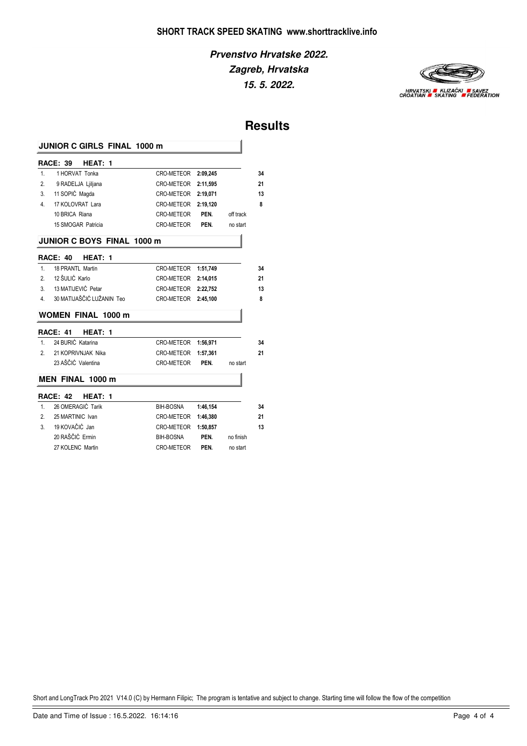

### **Results**

|                | JUNIOR C GIRLS FINAL 1000 m       |                  |          |           |
|----------------|-----------------------------------|------------------|----------|-----------|
|                | RACE: 39<br>HEAT:<br>-1           |                  |          |           |
| 1 <sub>1</sub> | 1 HORVAT Tonka                    | CRO-METEOR       | 2:09,245 |           |
| 2.             | 9 RADELJA Ljiljana                | CRO-METEOR       | 2:11,595 |           |
| 3.             | 11 SOPIĆ Magda                    | CRO-METEOR       | 2:19,071 |           |
| 4.             | 17 KOLOVRAT Lara                  | CRO-METEOR       | 2:19,120 |           |
|                | 10 BRICA Riana                    | CRO-METEOR       | PEN.     | off track |
|                | 15 SMOGAR Patricia                | CRO-METEOR       | PEN.     | no start  |
|                | <b>JUNIOR C BOYS FINAL 1000 m</b> |                  |          |           |
|                | RACE: 40<br>HEAT: 1               |                  |          |           |
| 1.             | 18 PRANTL Martin                  | CRO-METEOR       | 1:51,749 |           |
| 2 <sup>2</sup> | 12 ŠULIĆ Karlo                    | CRO-METEOR       | 2:14,015 |           |
| 3.             | 13 MATIJEVIĆ Petar                | CRO-METEOR       | 2:22,752 |           |
| 4.             | 30 MATIJAŠČIĆ LUŽANIN Teo         | CRO-METEOR       | 2:45,100 |           |
|                | <b>WOMEN FINAL 1000 m</b>         |                  |          |           |
|                | <b>RACE: 41</b><br>HEAT: 1        |                  |          |           |
| 1.             | 24 BURIĆ Katarina                 | CRO-METEOR       | 1:56,971 |           |
| 2 <sup>2</sup> | 21 KOPRIVNJAK Nika                | CRO-METEOR       | 1:57,361 |           |
|                | 23 AŠČIĆ Valentina                | CRO-METEOR       | PEN.     | no start  |
|                | MEN FINAL 1000 m                  |                  |          |           |
|                | <b>RACE: 42</b><br>HEAT:<br>-1    |                  |          |           |
| 1.             | 26 OMERAGIĆ Tarik                 | <b>BIH-BOSNA</b> | 1:46,154 |           |
| 2.             | 25 MARTINIC Ivan                  | CRO-METEOR       | 1:46,380 |           |
| 3.             | 19 KOVAČIĆ Jan                    | CRO-METEOR       | 1:50,857 |           |
|                | 20 RAŠČIĆ Ermin                   | <b>BIH-BOSNA</b> | PEN.     | no finish |
|                | 27 KOLENC Martin                  | CRO-METEOR       | PEN.     | no start  |

l.

J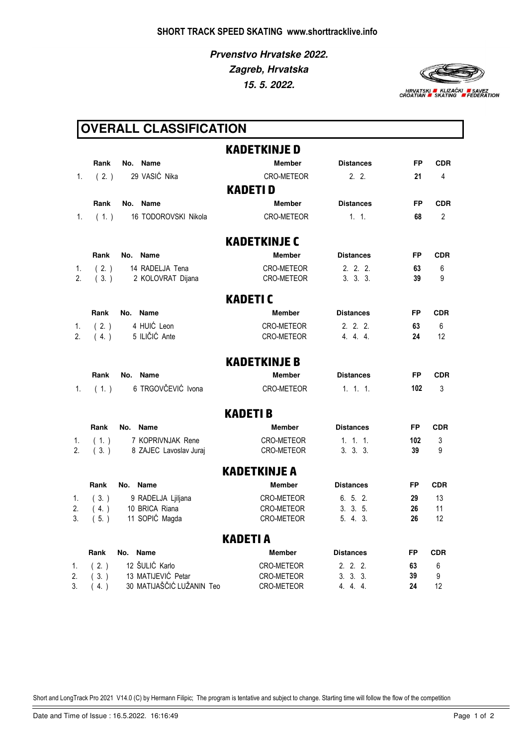**15. 5. 2022. Zagreb, Hrvatska Prvenstvo Hrvatske 2022.**



|          | <b>OVERALL CLASSIFICATION</b> |                                                 |                          |                    |           |                |  |
|----------|-------------------------------|-------------------------------------------------|--------------------------|--------------------|-----------|----------------|--|
|          |                               |                                                 | <b>KADETKINJE D</b>      |                    |           |                |  |
|          | Rank                          | No. Name                                        | <b>Member</b>            | <b>Distances</b>   | FP        | <b>CDR</b>     |  |
| 1.       | (2.)                          | 29 VASIĆ Nika                                   | CRO-METEOR               | 2.2.               | 21        | 4              |  |
|          |                               |                                                 | <b>KADETI D</b>          |                    |           |                |  |
|          | Rank                          | No. Name                                        | <b>Member</b>            | <b>Distances</b>   | <b>FP</b> | <b>CDR</b>     |  |
| 1.       | (1.)                          | 16 TODOROVSKI Nikola                            | CRO-METEOR               | 1, 1.              | 68        | $\overline{2}$ |  |
|          |                               |                                                 | <b>KADETKINJE C</b>      |                    |           |                |  |
|          | Rank                          | No. Name                                        | <b>Member</b>            | <b>Distances</b>   | FP        | <b>CDR</b>     |  |
| 1.       | (2.)                          | 14 RADELJA Tena                                 | CRO-METEOR               | 2.2.2.             | 63        | 6              |  |
| 2.       | (3.)                          | 2 KOLOVRAT Dijana                               | CRO-METEOR               | 3.3.3.             | 39        | 9              |  |
|          |                               |                                                 | <b>KADETIC</b>           |                    |           |                |  |
|          | Rank                          | No. Name                                        | Member                   | <b>Distances</b>   | FP        | <b>CDR</b>     |  |
| 1.       | (2.)                          | 4 HUIĆ Leon                                     | CRO-METEOR               | 2.2.2.             | 63        | 6              |  |
| 2.       | (4.)                          | 5 ILIČIĆ Ante                                   | <b>CRO-METEOR</b>        | 4, 4, 4            | 24        | 12             |  |
|          |                               |                                                 | <b>KADETKINJE B</b>      |                    |           |                |  |
|          | Rank                          | No. Name                                        | <b>Member</b>            | <b>Distances</b>   | FP        | <b>CDR</b>     |  |
| 1.       | (1.)                          | 6 TRGOVČEVIĆ Ivona                              | <b>CRO-METEOR</b>        | 1, 1, 1            | 102       | 3              |  |
|          |                               |                                                 | <b>KADETI B</b>          |                    |           |                |  |
|          | Rank                          | No. Name                                        | <b>Member</b>            | <b>Distances</b>   | FP        | <b>CDR</b>     |  |
| 1.       | (1.)                          | 7 KOPRIVNJAK Rene                               | CRO-METEOR               | 1, 1, 1            | 102       | 3              |  |
| 2.       | (3.)                          | 8 ZAJEC Lavoslav Juraj                          | <b>CRO-METEOR</b>        | 3.3.3.             | 39        | 9              |  |
|          |                               |                                                 | <b>KADETKINJE A</b>      |                    |           |                |  |
|          | Rank                          | No. Name                                        | <b>Member</b>            | <b>Distances</b>   | FP.       | <b>CDR</b>     |  |
| 1.       | (3.)                          | 9 RADELJA Ljiljana                              | CRO-METEOR               | 6.5.2.             | 29        | 13             |  |
| 2.       | (4.)                          | 10 BRICA Riana                                  | <b>CRO-METEOR</b>        | 3.3.5.             | 26        | 11             |  |
|          |                               | 3. (5.) 11 SOPIĆ Magda                          | CRO-METEOR               | 5.4.3.             | 26        | 12             |  |
|          |                               |                                                 | <b>KADETIA</b>           |                    |           |                |  |
|          | Rank                          | No. Name                                        | Member                   | <b>Distances</b>   | FP        | <b>CDR</b>     |  |
| 1.       | (2.)                          | 12 ŠULIĆ Karlo                                  | CRO-METEOR               | 2. 2. 2.           | 63        | 6              |  |
| 2.<br>3. | (3.)<br>(4.)                  | 13 MATIJEVIĆ Petar<br>30 MATIJAŠČIĆ LUŽANIN Teo | CRO-METEOR<br>CRO-METEOR | 3.3.3.<br>4. 4. 4. | 39<br>24  | 9<br>12        |  |
|          |                               |                                                 |                          |                    |           |                |  |